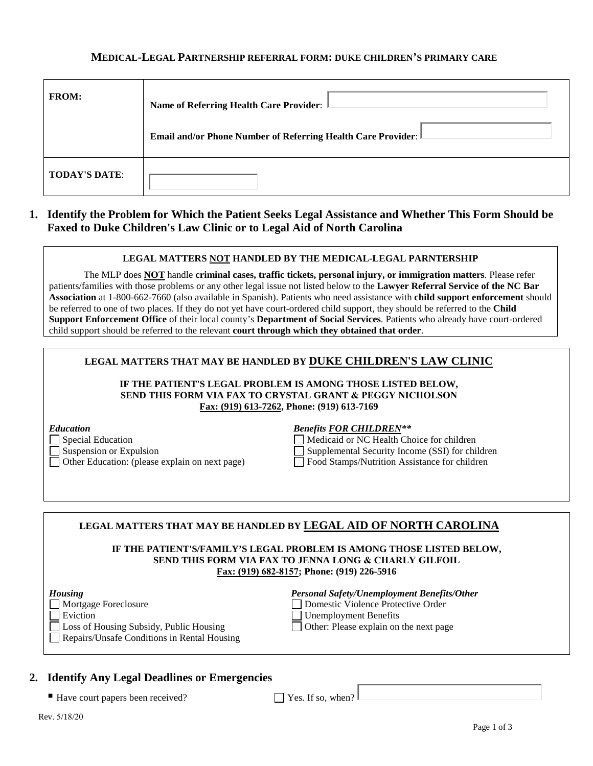### **MEDICAL-LEGAL PARTNERSHIP REFERRAL FORM: DUKE CHILDREN'S PRIMARY CARE**

| <b>FROM:</b>         | <b>Name of Referring Health Care Provider:</b><br>Email and/or Phone Number of Referring Health Care Provider: |
|----------------------|----------------------------------------------------------------------------------------------------------------|
| <b>TODAY'S DATE:</b> |                                                                                                                |

# **1. Identify the Problem for Which the Patient Seeks Legal Assistance and Whether This Form Should be Faxed to Duke Children's Law Clinic or to Legal Aid of North Carolina**

### **LEGAL MATTERS NOT HANDLED BY THE MEDICAL-LEGAL PARNTERSHIP**

The MLP does **NOT** handle **criminal cases, traffic tickets, personal injury, or immigration matters**. Please refer patients/families with those problems or any other legal issue not listed below to the **Lawyer Referral Service of the NC Bar Association** at 1-800-662-7660 (also available in Spanish). Patients who need assistance with **child support enforcement** should be referred to one of two places. If they do not yet have court-ordered child support, they should be referred to the **Child Support Enforcement Office** of their local county's **Department of Social Services**. Patients who already have court-ordered child support should be referred to the relevant **court through which they obtained that order**.

| LEGAL MATTERS THAT MAY BE HANDLED BY DUKE CHILDREN'S LAW CLINIC<br>IF THE PATIENT'S LEGAL PROBLEM IS AMONG THOSE LISTED BELOW,<br>SEND THIS FORM VIA FAX TO CRYSTAL GRANT & PEGGY NICHOLSON<br>Fax: (919) 613-7262, Phone: (919) 613-7169       |                                                                                                                                                                                 |  |  |  |  |
|-------------------------------------------------------------------------------------------------------------------------------------------------------------------------------------------------------------------------------------------------|---------------------------------------------------------------------------------------------------------------------------------------------------------------------------------|--|--|--|--|
| <b>Education</b><br>Special Education<br>Suspension or Expulsion<br>Other Education: (please explain on next page)                                                                                                                              | <b>Benefits FOR CHILDREN**</b><br>Medicaid or NC Health Choice for children<br>Supplemental Security Income (SSI) for children<br>Food Stamps/Nutrition Assistance for children |  |  |  |  |
| LEGAL MATTERS THAT MAY BE HANDLED BY LEGAL AID OF NORTH CAROLINA<br>IF THE PATIENT'S/FAMILY'S LEGAL PROBLEM IS AMONG THOSE LISTED BELOW,<br>SEND THIS FORM VIA FAX TO JENNA LONG & CHARLY GILFOIL<br>Fax: (919) 682-8157; Phone: (919) 226-5916 |                                                                                                                                                                                 |  |  |  |  |
| <b>Housing</b><br>Mortgage Foreclosure<br>Eviction<br>Loss of Housing Subsidy, Public Housing<br>Repairs/Unsafe Conditions in Rental Housing                                                                                                    | <b>Personal Safety/Unemployment Benefits/Other</b><br>Domestic Violence Protective Order<br><b>Unemployment Benefits</b><br>Other: Please explain on the next page              |  |  |  |  |

## **2. Identify Any Legal Deadlines or Emergencies**

 $\blacksquare$  Have court papers been received?  $\blacksquare$  Yes. If so, when?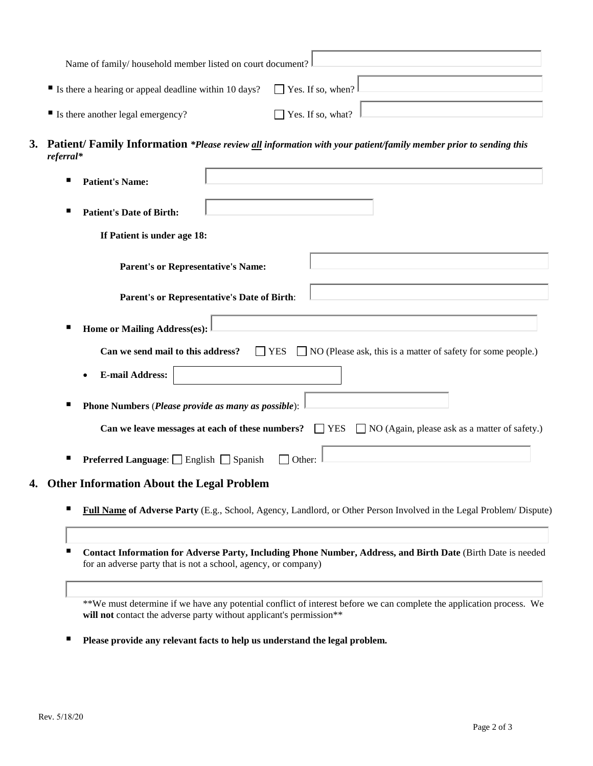| Name of family/ household member listed on court document? $\mathbb L$                  |                          |  |  |  |  |  |
|-----------------------------------------------------------------------------------------|--------------------------|--|--|--|--|--|
| ■ Is there a hearing or appeal deadline within 10 days? $\Box$ Yes. If so, when? $\Box$ |                          |  |  |  |  |  |
| $\blacksquare$ Is there another legal emergency?                                        | $\Box$ Yes. If so, what? |  |  |  |  |  |

**3. Patient/ Family Information** *\*Please review all information with your patient/family member prior to sending this referral\**

| <b>Patient's Name:</b>                                 |                                                                                                                                                                                                                                                                                                                                    |                                                                                                                        |  |
|--------------------------------------------------------|------------------------------------------------------------------------------------------------------------------------------------------------------------------------------------------------------------------------------------------------------------------------------------------------------------------------------------|------------------------------------------------------------------------------------------------------------------------|--|
| <b>Patient's Date of Birth:</b>                        |                                                                                                                                                                                                                                                                                                                                    |                                                                                                                        |  |
| If Patient is under age 18:                            |                                                                                                                                                                                                                                                                                                                                    |                                                                                                                        |  |
| <b>Parent's or Representative's Name:</b>              |                                                                                                                                                                                                                                                                                                                                    |                                                                                                                        |  |
|                                                        | Parent's or Representative's Date of Birth:                                                                                                                                                                                                                                                                                        |                                                                                                                        |  |
| <b>Home or Mailing Address(es):</b>                    |                                                                                                                                                                                                                                                                                                                                    |                                                                                                                        |  |
| Can we send mail to this address?                      | <b>YES</b><br>$\mathbf{L}$                                                                                                                                                                                                                                                                                                         | $\Box$ NO (Please ask, this is a matter of safety for some people.)                                                    |  |
| <b>E-mail Address:</b>                                 |                                                                                                                                                                                                                                                                                                                                    |                                                                                                                        |  |
| Phone Numbers (Please provide as many as possible):    |                                                                                                                                                                                                                                                                                                                                    |                                                                                                                        |  |
|                                                        |                                                                                                                                                                                                                                                                                                                                    | <b>Can we leave messages at each of these numbers?</b> $\Box$ YES $\Box$ NO (Again, please ask as a matter of safety.) |  |
| <b>Preferred Language:</b> □ English □ Spanish         | Other:                                                                                                                                                                                                                                                                                                                             |                                                                                                                        |  |
| <b>Other Information About the Legal Problem</b><br>4. |                                                                                                                                                                                                                                                                                                                                    |                                                                                                                        |  |
| $\mathbf{a}$ $\mathbf{b}$ $\mathbf{b}$                 | $\mathbf{R}$ $\mathbf{R}$ $\mathbf{R}$ $\mathbf{R}$ $\mathbf{R}$ $\mathbf{R}$ $\mathbf{R}$ $\mathbf{R}$ $\mathbf{R}$ $\mathbf{R}$ $\mathbf{R}$ $\mathbf{R}$ $\mathbf{R}$ $\mathbf{R}$ $\mathbf{R}$ $\mathbf{R}$ $\mathbf{R}$ $\mathbf{R}$ $\mathbf{R}$ $\mathbf{R}$ $\mathbf{R}$ $\mathbf{R}$ $\mathbf{R}$ $\mathbf{R}$ $\mathbf{$ |                                                                                                                        |  |

- **Full Name of Adverse Party** (E.g., School, Agency, Landlord, or Other Person Involved in the Legal Problem/ Dispute)
- **Contact Information for Adverse Party, Including Phone Number, Address, and Birth Date** (Birth Date is needed for an adverse party that is not a school, agency, or company)

\*\*We must determine if we have any potential conflict of interest before we can complete the application process. We will not contact the adverse party without applicant's permission<sup>\*\*</sup>

**Please provide any relevant facts to help us understand the legal problem.**